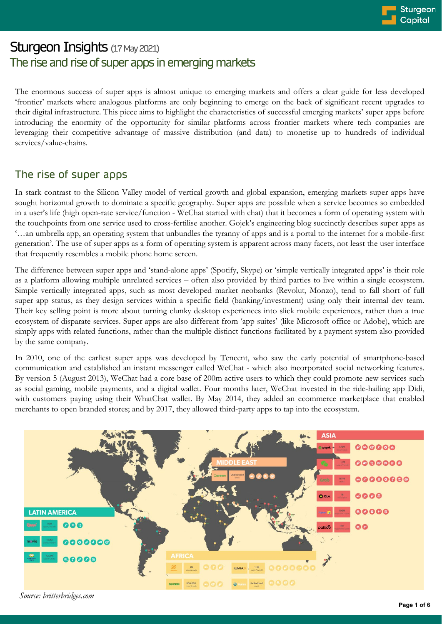# Sturgeon Insights (17 May 2021) The rise and rise of super apps in emerging markets

The enormous success of super apps is almost unique to emerging markets and offers a clear guide for less developed 'frontier' markets where analogous platforms are only beginning to emerge on the back of significant recent upgrades to their digital infrastructure. This piece aims to highlight the characteristics of successful emerging markets' super apps before introducing the enormity of the opportunity for similar platforms across frontier markets where tech companies are leveraging their competitive advantage of massive distribution (and data) to monetise up to hundreds of individual services/value-chains.

# The rise of super apps

In stark contrast to the Silicon Valley model of vertical growth and global expansion, emerging markets super apps have sought horizontal growth to dominate a specific geography. Super apps are possible when a service becomes so embedded in a user's life (high open-rate service/function - WeChat started with chat) that it becomes a form of operating system with the touchpoints from one service used to cross-fertilise another. Gojek's engineering blog succinctly describes super apps as '…an umbrella app, an operating system that unbundles the tyranny of apps and is a portal to the internet for a mobile-first generation'. The use of super apps as a form of operating system is apparent across many facets, not least the user interface that frequently resembles a mobile phone home screen.

The difference between super apps and 'stand-alone apps' (Spotify, Skype) or 'simple vertically integrated apps' is their role as a platform allowing multiple unrelated services – often also provided by third parties to live within a single ecosystem. Simple vertically integrated apps, such as most developed market neobanks (Revolut, Monzo), tend to fall short of full super app status, as they design services within a specific field (banking/investment) using only their internal dev team. Their key selling point is more about turning clunky desktop experiences into slick mobile experiences, rather than a true ecosystem of disparate services. Super apps are also different from 'app suites' (like Microsoft office or Adobe), which are simply apps with related functions, rather than the multiple distinct functions facilitated by a payment system also provided by the same company.

In 2010, one of the earliest super apps was developed by Tencent, who saw the early potential of smartphone-based communication and established an instant messenger called WeChat - which also incorporated social networking features. By version 5 (August 2013), WeChat had a core base of 200m active users to which they could promote new services such as social gaming, mobile payments, and a digital wallet. Four months later, WeChat invested in the ride-hailing app Didi, with customers paying using their WhatChat wallet. By May 2014, they added an ecommerce marketplace that enabled merchants to open branded stores; and by 2017, they allowed third-party apps to tap into the ecosystem.



*Source: britterbridges.com*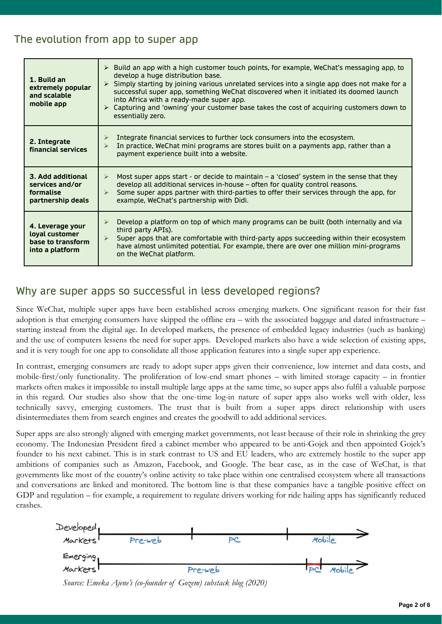# The evolution from app to super app

| 1. Build an<br>extremely popular<br>and scalable<br>mobile app             | $\triangleright$ Build an app with a high customer touch points, for example, WeChat's messaging app, to<br>develop a huge distribution base.<br>Simply starting by joining various unrelated services into a single app does not make for a<br>$\blacktriangleright$<br>successful super app, something WeChat discovered when it initiated its doomed launch<br>into Africa with a ready-made super app.<br>► Capturing and 'owning' your customer base takes the cost of acquiring customers down to<br>essentially zero. |
|----------------------------------------------------------------------------|------------------------------------------------------------------------------------------------------------------------------------------------------------------------------------------------------------------------------------------------------------------------------------------------------------------------------------------------------------------------------------------------------------------------------------------------------------------------------------------------------------------------------|
| 2. Integrate<br>financial services                                         | Integrate financial services to further lock consumers into the ecosystem.<br>➤<br>In practice, WeChat mini programs are stores built on a payments app, rather than a<br>⋗<br>payment experience built into a website.                                                                                                                                                                                                                                                                                                      |
| 3. Add additional<br>services and/or<br>formalise<br>partnership deals     | Most super apps start - or decide to maintain - a 'closed' system in the sense that they<br>$\blacktriangleright$<br>develop all additional services in-house - often for quality control reasons.<br>Some super apps partner with third-parties to offer their services through the app, for<br>$\blacktriangleright$<br>example, WeChat's partnership with Didi.                                                                                                                                                           |
| 4. Leverage your<br>loyal customer<br>base to transform<br>into a platform | Develop a platform on top of which many programs can be built (both internally and via<br>$\blacktriangleright$<br>third party APIs).<br>Super apps that are comfortable with third-party apps succeeding within their ecosystem<br>➤<br>have almost unlimited potential. For example, there are over one million mini-programs<br>on the WeChat platform.                                                                                                                                                                   |

### Why are super apps so successful in less developed regions?

Since WeChat, multiple super apps have been established across emerging markets. One significant reason for their fast adoption is that emerging consumers have skipped the offline era – with the associated baggage and dated infrastructure – starting instead from the digital age. In developed markets, the presence of embedded legacy industries (such as banking) and the use of computers lessens the need for super apps. Developed markets also have a wide selection of existing apps, and it is very tough for one app to consolidate all those application features into a single super app experience.

In contrast, emerging consumers are ready to adopt super apps given their convenience, low internet and data costs, and mobile-first/only functionality. The proliferation of low-end smart phones – with limited storage capacity – in frontier markets often makes it impossible to install multiple large apps at the same time, so super apps also fulfil a valuable purpose in this regard. Our studies also show that the one-time log-in nature of super apps also works well with older, less technically savvy, emerging customers. The trust that is built from a super apps direct relationship with users disintermediates them from search engines and creates the goodwill to add additional services.

Super apps are also strongly aligned with emerging market governments, not least because of their role in shrinking the grey economy. The Indonesian President fired a cabinet member who appeared to be anti-Gojek and then appointed Gojek's founder to his next cabinet. This is in stark contrast to US and EU leaders, who are extremely hostile to the super app ambitions of companies such as Amazon, Facebook, and Google. The bear case, as in the case of WeChat, is that governments like most of the country's online activity to take place within one centralised ecosystem where all transactions and conversations are linked and monitored. The bottom line is that these companies have a tangible positive effect on GDP and regulation – for example, a requirement to regulate drivers working for ride hailing apps has significantly reduced crashes.



*Source: Emeka Ajene's (co-founder of Gozem) substack blog (2020)*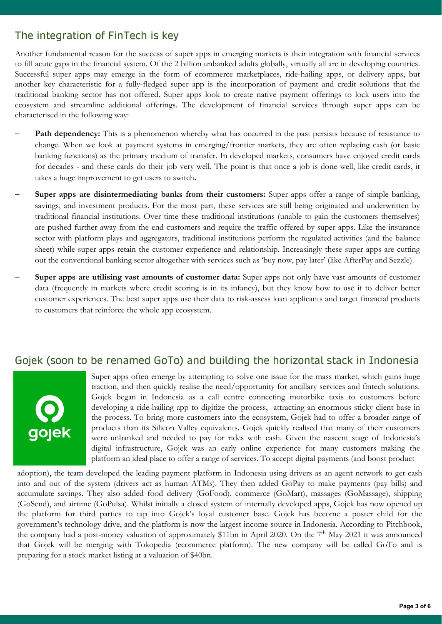### The integration of FinTech is key

Another fundamental reason for the success of super apps in emerging markets is their integration with financial services to fill acute gaps in the financial system. Of the 2 billion unbanked adults globally, virtually all are in developing countries. Successful super apps may emerge in the form of ecommerce marketplaces, ride-hailing apps, or delivery apps, but another key characteristic for a fully-fledged super app is the incorporation of payment and credit solutions that the traditional banking sector has not offered. Super apps look to create native payment offerings to lock users into the ecosystem and streamline additional offerings. The development of financial services through super apps can be characterised in the following way:

- **Path dependency:** This is a phenomenon whereby what has occurred in the past persists because of resistance to change. When we look at payment systems in emerging/frontier markets, they are often replacing cash (or basic banking functions) as the primary medium of transfer. In developed markets, consumers have enjoyed credit cards for decades - and these cards do their job very well. The point is that once a job is done well, like credit cards, it takes a huge improvement to get users to switch**.**
- − **Super apps are disintermediating banks from their customers:** Super apps offer a range of simple banking, savings, and investment products. For the most part, these services are still being originated and underwritten by traditional financial institutions. Over time these traditional institutions (unable to gain the customers themselves) are pushed further away from the end customers and require the traffic offered by super apps. Like the insurance sector with platform plays and aggregators, traditional institutions perform the regulated activities (and the balance sheet) while super apps retain the customer experience and relationship. Increasingly these super apps are cutting out the conventional banking sector altogether with services such as 'buy now, pay later' (like AfterPay and Sezzle).
- − **Super apps are utilising vast amounts of customer data:** Super apps not only have vast amounts of customer data (frequently in markets where credit scoring is in its infancy), but they know how to use it to deliver better customer experiences. The best super apps use their data to risk-assess loan applicants and target financial products to customers that reinforce the whole app ecosystem.

#### Gojek (soon to be renamed GoTo) and building the horizontal stack in Indonesia



Super apps often emerge by attempting to solve one issue for the mass market, which gains huge traction, and then quickly realise the need/opportunity for ancillary services and fintech solutions. Gojek began in Indonesia as a call centre connecting motorbike taxis to customers before developing a ride-hailing app to digitize the process, attracting an enormous sticky client base in the process. To bring more customers into the ecosystem, Gojek had to offer a broader range of products than its Silicon Valley equivalents. Gojek quickly realised that many of their customers were unbanked and needed to pay for rides with cash. Given the nascent stage of Indonesia's digital infrastructure, Gojek was an early online experience for many customers making the platform an ideal place to offer a range of services. To accept digital payments (and boost product

adoption), the team developed the leading payment platform in Indonesia using drivers as an agent network to get cash into and out of the system (drivers act as human ATMs). They then added GoPay to make payments (pay bills) and accumulate savings. They also added food delivery (GoFood), commerce (GoMart), massages (GoMassage), shipping (GoSend), and airtime (GoPulsa). Whilst initially a closed system of internally developed apps, Gojek has now opened up the platform for third parties to tap into Gojek's loyal customer base. Gojek has become a poster child for the government's technology drive, and the platform is now the largest income source in Indonesia. According to Pitchbook, the company had a post-money valuation of approximately \$11bn in April 2020. On the 7<sup>th</sup> May 2021 it was announced that Gojek will be merging with Tokopedia (ecommerce platform). The new company will be called GoTo and is preparing for a stock market listing at a valuation of \$40bn.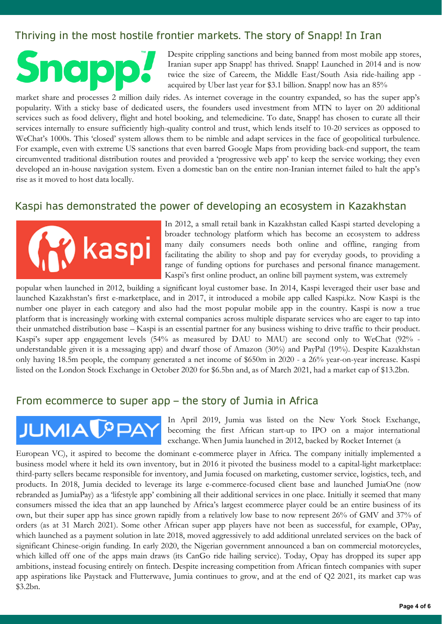# Thriving in the most hostile frontier markets. The story of Snapp! In Iran

Despite crippling sanctions and being banned from most mobile app stores, Iranian super app Snapp! has thrived. Snapp! Launched in 2014 and is now twice the size of Careem, the Middle East/South Asia ride-hailing app acquired by Uber last year for \$3.1 billion. Snapp! now has an 85%

market share and processes 2 million daily rides. As internet coverage in the country expanded, so has the super app's popularity. With a sticky base of dedicated users, the founders used investment from MTN to layer on 20 additional services such as food delivery, flight and hotel booking, and telemedicine. To date, Snapp! has chosen to curate all their services internally to ensure sufficiently high-quality control and trust, which lends itself to 10-20 services as opposed to WeChat's 1000s. This 'closed' system allows them to be nimble and adapt services in the face of geopolitical turbulence. For example, even with extreme US sanctions that even barred Google Maps from providing back-end support, the team circumvented traditional distribution routes and provided a 'progressive web app' to keep the service working; they even developed an in-house navigation system. Even a domestic ban on the entire non-Iranian internet failed to halt the app's rise as it moved to host data locally.

#### Kaspi has demonstrated the power of developing an ecosystem in Kazakhstan



In 2012, a small retail bank in Kazakhstan called Kaspi started developing a broader technology platform which has become an ecosystem to address many daily consumers needs both online and offline, ranging from facilitating the ability to shop and pay for everyday goods, to providing a range of funding options for purchases and personal finance management. Kaspi's first online product, an online bill payment system, was extremely

popular when launched in 2012, building a significant loyal customer base. In 2014, Kaspi leveraged their user base and launched Kazakhstan's first e-marketplace, and in 2017, it introduced a mobile app called Kaspi.kz. Now Kaspi is the number one player in each category and also had the most popular mobile app in the country. Kaspi is now a true platform that is increasingly working with external companies across multiple disparate services who are eager to tap into their unmatched distribution base – Kaspi is an essential partner for any business wishing to drive traffic to their product. Kaspi's super app engagement levels (54% as measured by DAU to MAU) are second only to WeChat (92% understandable given it is a messaging app) and dwarf those of Amazon (30%) and PayPal (19%). Despite Kazakhstan only having 18.5m people, the company generated a net income of \$650m in 2020 - a 26% year-on-year increase. Kaspi listed on the London Stock Exchange in October 2020 for \$6.5bn and, as of March 2021, had a market cap of \$13.2bn.

#### From ecommerce to super app – the story of Jumia in Africa

# **JUMIA <sup>C</sup>PAY**

In April 2019, Jumia was listed on the New York Stock Exchange, becoming the first African start-up to IPO on a major international exchange. When Jumia launched in 2012, backed by Rocket Internet (a

European VC), it aspired to become the dominant e-commerce player in Africa. The company initially implemented a business model where it held its own inventory, but in 2016 it pivoted the business model to a capital-light marketplace: third-party sellers became responsible for inventory, and Jumia focused on marketing, customer service, logistics, tech, and products. In 2018, Jumia decided to leverage its large e-commerce-focused client base and launched JumiaOne (now rebranded as JumiaPay) as a 'lifestyle app' combining all their additional services in one place. Initially it seemed that many consumers missed the idea that an app launched by Africa's largest ecommerce player could be an entire business of its own, but their super app has since grown rapidly from a relatively low base to now represent 26% of GMV and 37% of orders (as at 31 March 2021). Some other African super app players have not been as successful, for example, OPay, which launched as a payment solution in late 2018, moved aggressively to add additional unrelated services on the back of significant Chinese-origin funding. In early 2020, the Nigerian government announced a ban on commercial motorcycles, which killed off one of the apps main draws (its CanGo ride hailing service). Today, Opay has dropped its super app ambitions, instead focusing entirely on fintech. Despite increasing competition from African fintech companies with super app aspirations like Paystack and Flutterwave, Jumia continues to grow, and at the end of Q2 2021, its market cap was \$3.2bn.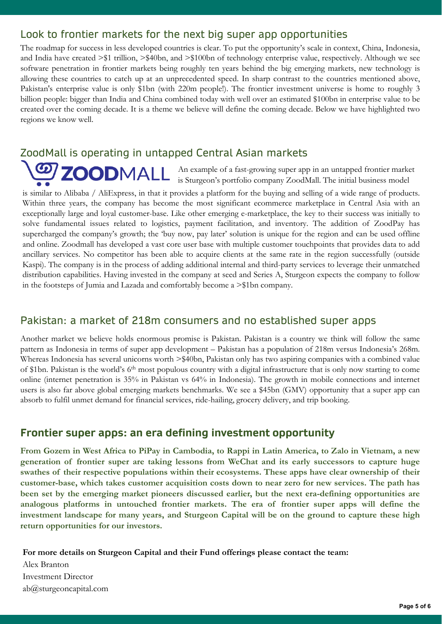### Look to frontier markets for the next big super app opportunities

The roadmap for success in less developed countries is clear. To put the opportunity's scale in context, China, Indonesia, and India have created >\$1 trillion, >\$40bn, and >\$100bn of technology enterprise value, respectively. Although we see software penetration in frontier markets being roughly ten years behind the big emerging markets, new technology is allowing these countries to catch up at an unprecedented speed. In sharp contrast to the countries mentioned above, Pakistan's enterprise value is only \$1bn (with 220m people!). The frontier investment universe is home to roughly 3 billion people: bigger than India and China combined today with well over an estimated \$100bn in enterprise value to be created over the coming decade. It is a theme we believe will define the coming decade. Below we have highlighted two regions we know well.

# ZoodMall is operating in untapped Central Asian markets

An example of a fast-growing super app in an untapped frontier market is Sturgeon's portfolio company ZoodMall. The initial business model

is similar to Alibaba / AliExpress, in that it provides a platform for the buying and selling of a wide range of products. Within three years, the company has become the most significant ecommerce marketplace in Central Asia with an exceptionally large and loyal customer-base. Like other emerging e-marketplace, the key to their success was initially to solve fundamental issues related to logistics, payment facilitation, and inventory. The addition of ZoodPay has supercharged the company's growth; the 'buy now, pay later' solution is unique for the region and can be used offline and online. Zoodmall has developed a vast core user base with multiple customer touchpoints that provides data to add ancillary services. No competitor has been able to acquire clients at the same rate in the region successfully (outside Kaspi). The company is in the process of adding additional internal and third-party services to leverage their unmatched distribution capabilities. Having invested in the company at seed and Series A, Sturgeon expects the company to follow in the footsteps of Jumia and Lazada and comfortably become a >\$1bn company.

#### Pakistan: a market of 218m consumers and no established super apps

Another market we believe holds enormous promise is Pakistan. Pakistan is a country we think will follow the same pattern as Indonesia in terms of super app development – Pakistan has a population of 218m versus Indonesia's 268m. Whereas Indonesia has several unicorns worth >\$40bn, Pakistan only has two aspiring companies with a combined value of \$1bn. Pakistan is the world's 6th most populous country with a digital infrastructure that is only now starting to come online (internet penetration is 35% in Pakistan vs 64% in Indonesia). The growth in mobile connections and internet users is also far above global emerging markets benchmarks. We see a \$45bn (GMV) opportunity that a super app can absorb to fulfil unmet demand for financial services, ride-hailing, grocery delivery, and trip booking.

#### **Frontier super apps: an era defining investment opportunity**

From Gozem in West Africa to PiPay in Cambodia, to Rappi in Latin America, to Zalo in Vietnam, a new **generation of frontier super are taking lessons from WeChat and its early successors to capture huge swathes of their respective populations within their ecosystems. These apps have clear ownership of their customer-base, which takes customer acquisition costs down to near zero for new services. The path has been set by the emerging market pioneers discussed earlier, but the next era-defining opportunities are analogous platforms in untouched frontier markets. The era of frontier super apps will define the investment landscape for many years, and Sturgeon Capital will be on the ground to capture these high return opportunities for our investors.**

**For more details on Sturgeon Capital and their Fund offerings please contact the team:**

Alex Branton Investment Director ab@sturgeoncapital.com